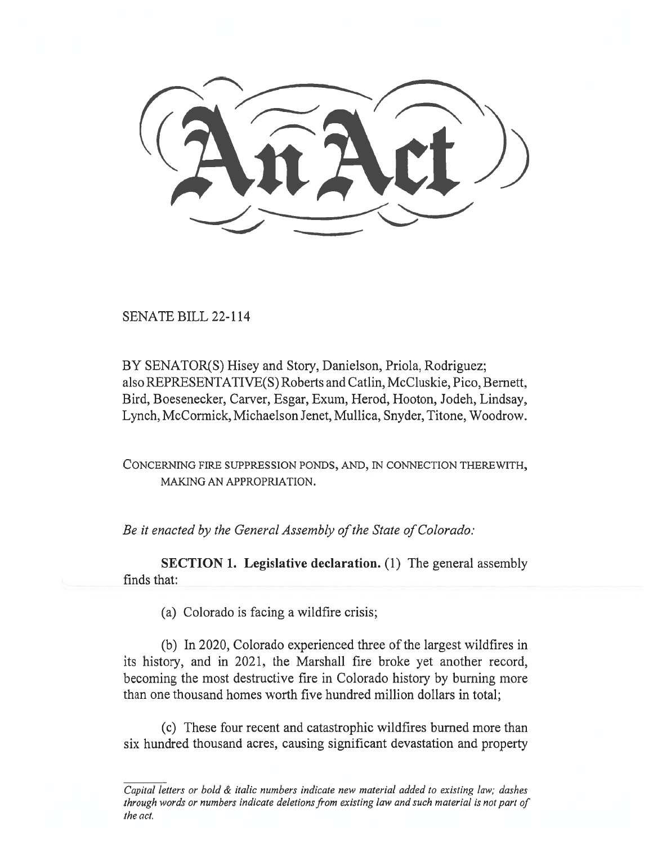SENATE BILL 22-114

BY SENATOR(S) Hisey and Story, Danielson, Priola, Rodriguez; also REPRESENTATIVE(S) Roberts and Catlin, McCluskie, Pico, Bernett, Bird, Boesenecker, Carver, Esgar, Exum, Herod, Hooton, Jodeh, Lindsay, Lynch, McCormick, Michaelson Jenet, Mullica, Snyder, Titone, Woodrow.

CONCERNING FIRE SUPPRESSION PONDS, AND, IN CONNECTION THEREWITH, MAKING AN APPROPRIATION.

Be it enacted by the General Assembly of the State of Colorado:

SECTION 1. Legislative declaration. (1) The general assembly finds that:

(a) Colorado is facing a wildfire crisis;

(b) In 2020, Colorado experienced three of the largest wildfires in its history, and in 2021, the Marshall fire broke yet another record, becoming the most destructive fire in Colorado history by burning more than one thousand homes worth five hundred million dollars in total;

(c) These four recent and catastrophic wildfires burned more than six hundred thousand acres, causing significant devastation and property

Capital letters or bold & italic numbers indicate new material added to existing law; dashes through words or numbers indicate deletions from existing law and such material is not part of the act.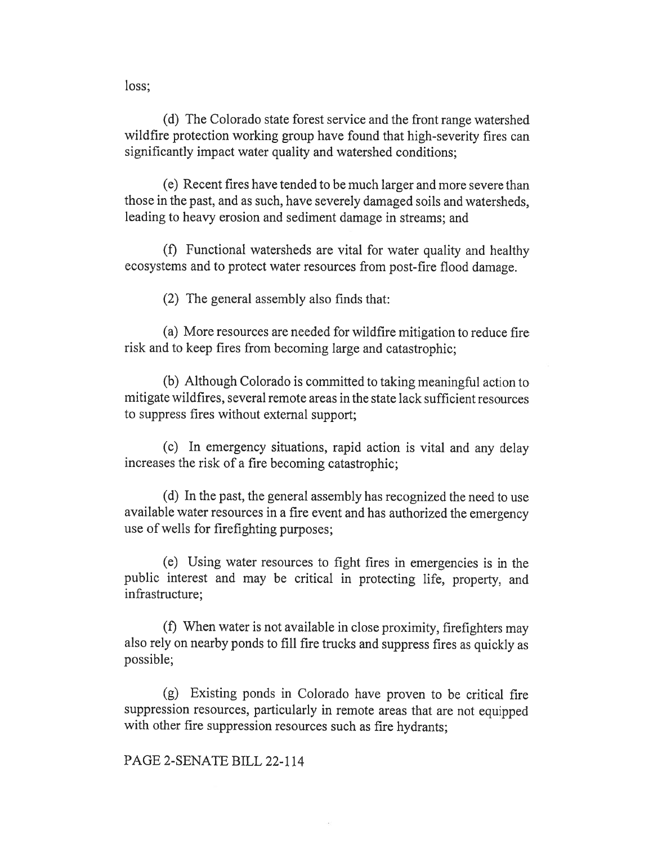loss;

(d) The Colorado state forest service and the front range watershed wildfire protection working group have found that high-severity fires can significantly impact water quality and watershed conditions;

(e) Recent fires have tended to be much larger and more severe than those in the past, and as such, have severely damaged soils and watersheds, leading to heavy erosion and sediment damage in streams; and

(f) Functional watersheds are vital for water quality and healthy ecosystems and to protect water resources from post-fire flood damage.

(2) The general assembly also finds that:

(a) More resources are needed for wildfire mitigation to reduce fire risk and to keep fires from becoming large and catastrophic;

(b) Although Colorado is committed to taking meaningful action to mitigate wildfires, several remote areas in the state lack sufficient resources to suppress fires without external support;

(c) In emergency situations, rapid action is vital and any delay increases the risk of a fire becoming catastrophic;

(d) In the past, the general assembly has recognized the need to use available water resources in a fire event and has authorized the emergency use of wells for firefighting purposes;

(e) Using water resources to fight fires in emergencies is in the public interest and may be critical in protecting life, property, and infrastructure;

(f) When water is not available in close proximity, firefighters may also rely on nearby ponds to fill fire trucks and suppress fires as quickly as possible;

(g) Existing ponds in Colorado have proven to be critical fire suppression resources, particularly in remote areas that are not equipped with other fire suppression resources such as fire hydrants;

# PAGE 2-SENATE BILL 22-114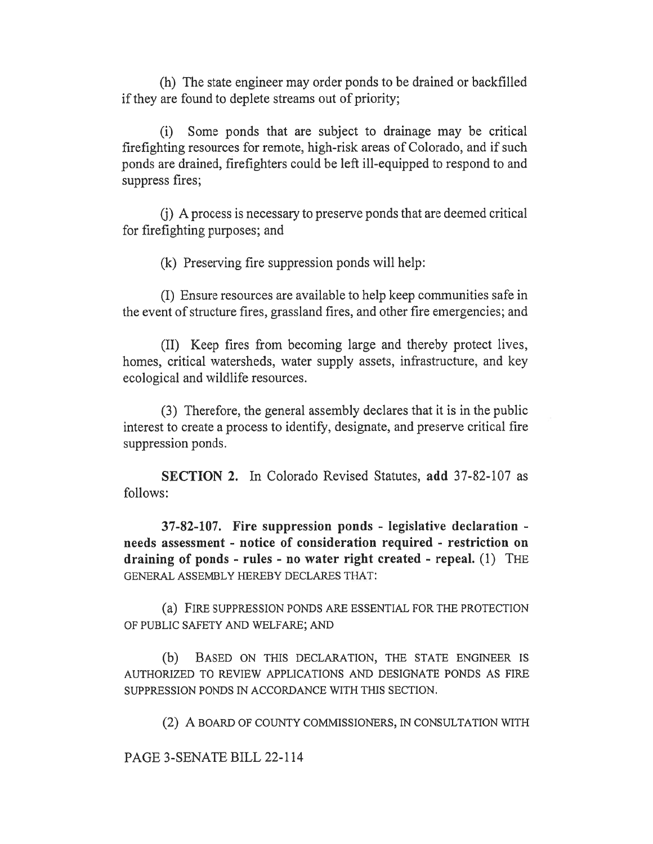(h) The state engineer may order ponds to be drained or backfilled if they are found to deplete streams out of priority;

(i) Some ponds that are subject to drainage may be critical firefighting resources for remote, high-risk areas of Colorado, and if such ponds are drained, firefighters could be left ill-equipped to respond to and suppress fires;

(j) A process is necessary to preserve ponds that are deemed critical for firefighting purposes; and

(k) Preserving fire suppression ponds will help:

(I) Ensure resources are available to help keep communities safe in the event of structure fires, grassland fires, and other fire emergencies; and

(II) Keep fires from becoming large and thereby protect lives, homes, critical watersheds, water supply assets, infrastructure, and key ecological and wildlife resources.

(3) Therefore, the general assembly declares that it is in the public interest to create a process to identify, designate, and preserve critical fire suppression ponds.

SECTION 2. In Colorado Revised Statutes, add 37-82-107 as follows:

37-82-107. Fire suppression ponds - legislative declaration needs assessment - notice of consideration required - restriction on draining of ponds - rules - no water right created - repeal. (1) THE GENERAL ASSEMBLY HEREBY DECLARES THAT:

(a) FIRE SUPPRESSION PONDS ARE ESSENTIAL FOR THE PROTECTION OF PUBLIC SAFETY AND WELFARE; AND

(b) BASED ON THIS DECLARATION, THE STATE ENGINEER IS AUTHORIZED TO REVIEW APPLICATIONS AND DESIGNATE PONDS AS FIRE SUPPRESSION PONDS IN ACCORDANCE WITH THIS SECTION.

(2) A BOARD OF COUNTY COMMISSIONERS, IN CONSULTATION WITH

PAGE 3-SENATE BILL 22-114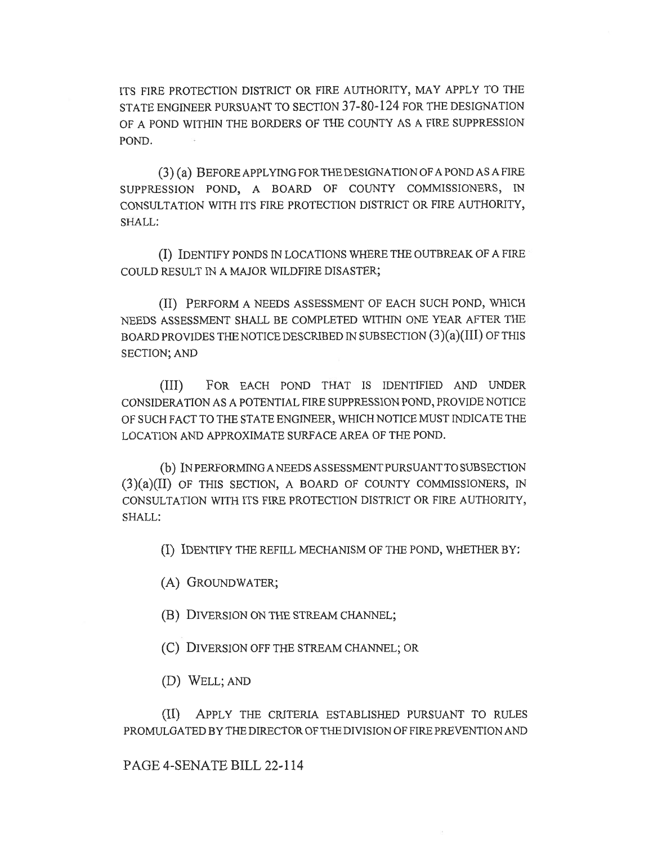ITS FIRE PROTECTION DISTRICT OR FIRE AUTHORITY, MAY APPLY TO THE STATE ENGINEER PURSUANT TO SECTION 37-80-124 FOR THE DESIGNATION OF A POND WITHIN THE BORDERS OF THE COUNTY AS A FIRE SUPPRESSION POND.

(3) (a) BEFORE APPLYING FOR THE DESIGNATION OF A POND AS A FIRE SUPPRESSION POND, A BOARD OF COUNTY COMMISSIONERS, IN CONSULTATION WITH ITS FIRE PROTECTION DISTRICT OR FIRE AUTHORITY, SHALL:

(I) IDENTIFY PONDS IN LOCATIONS WHERE THE OUTBREAK OF A FIRE COULD RESULT IN A MAJOR WILDFIRE DISASTER;

(II) PERFORM A NEEDS ASSESSMENT OF EACH SUCH POND, WHICH NEEDS ASSESSMENT SHALL BE COMPLETED WITHIN ONE YEAR AFTER THE BOARD PROVIDES THE NOTICE DESCRIBED IN SUBSECTION (3)(a)(III) OF THIS SECTION; AND

(III) FOR EACH POND THAT IS IDENTIFIED AND UNDER CONSIDERATION AS A POTENTIAL FIRE SUPPRESSION POND, PROVIDE NOTICE OF SUCH FACT TO THE STATE ENGINEER, WHICH NOTICE MUST INDICATE THE LOCATION AND APPROXIMATE SURFACE AREA OF THE POND.

(b) IN PERFORMING A NEEDS ASSESSMENT PURSUANT TO SUB SECTION  $(3)(a)(II)$  OF THIS SECTION, A BOARD OF COUNTY COMMISSIONERS, IN CONSULTATION WITH ITS FIRE PROTECTION DISTRICT OR FIRE AUTHORITY, SHALL:

(I) IDENTIFY THE REFILL MECHANISM OF THE POND, WHETHER BY:

(A) GROUNDWATER;

(B) DIVERSION ON THE STREAM CHANNEL;

(C) DIVERSION OFF THE STREAM CHANNEL; OR

(D) WELL; AND

(II) APPLY THE CRITERIA ESTABLISHED PURSUANT TO RULES PROMULGATED BY THE DIRECTOR OF THE DIVISION OF FIRE PREVENTION AND

PAGE 4-SENATE BILL 22-114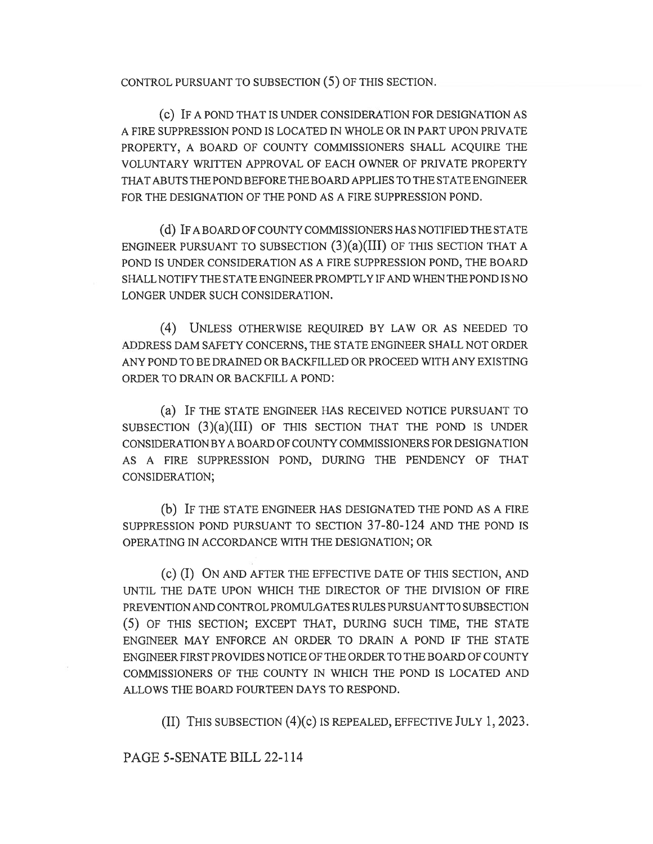CONTROL PURSUANT TO SUBSECTION (5) OF THIS SECTION.

(c) IF A POND THAT IS UNDER CONSIDERATION FOR DESIGNATION AS A FIRE SUPPRESSION POND IS LOCATED IN WHOLE OR IN PART UPON PRIVATE PROPERTY, A BOARD OF COUNTY COMMISSIONERS SHALL ACQUIRE THE VOLUNTARY WRITTEN APPROVAL OF EACH OWNER OF PRIVATE PROPERTY THAT ABUTS THE POND BEFORE THE BOARD APPLIES TO THE STATE ENGINEER FOR THE DESIGNATION OF THE POND AS A FIRE SUPPRESSION POND.

(d) IF A BOARD OF COUNTY COMMISSIONERS HAS NOTIFIED THE STATE ENGINEER PURSUANT TO SUBSECTION  $(3)(a)(III)$  OF THIS SECTION THAT A POND IS UNDER CONSIDERATION AS A FIRE SUPPRESSION POND, THE BOARD SHALL NOTIFY THE STATE ENGINEER PROMPTLY IF AND WHEN THE POND IS NO LONGER UNDER SUCH CONSIDERATION.

(4) UNLESS OTHERWISE REQUIRED BY LAW OR AS NEEDED TO ADDRESS DAM SAFETY CONCERNS, THE STATE ENGINEER SHALL NOT ORDER ANY POND TO BE DRAINED OR BACKFILLED OR PROCEED WITH ANY EXISTING ORDER TO DRAIN OR BACKFILL A POND:

(a) IF THE STATE ENGINEER HAS RECEIVED NOTICE PURSUANT TO SUBSECTION  $(3)(a)(III)$  OF THIS SECTION THAT THE POND IS UNDER CONSIDERATION BY A BOARD OF COUNTY COMMISSIONERS FOR DESIGNATION AS A FIRE SUPPRESSION POND, DURING THE PENDENCY OF THAT CONSIDERATION;

(b) IF THE STATE ENGINEER HAS DESIGNATED THE POND AS A FIRE SUPPRESSION POND PURSUANT TO SECTION 37-80-124 AND THE POND IS OPERATING IN ACCORDANCE WITH THE DESIGNATION; OR

(c) (I) ON AND AFTER THE EFFECTIVE DATE OF THIS SECTION, AND UNTIL THE DATE UPON WHICH THE DIRECTOR OF THE DIVISION OF FIRE PREVENTION AND CONTROL PROMULGATES RULES PURSUANT TO SUBSECTION (5) OF THIS SECTION; EXCEPT THAT, DURING SUCH TIME, THE STATE ENGINEER MAY ENFORCE AN ORDER TO DRAIN A POND IF THE STATE ENGINEER FIRST PROVIDES NOTICE OF THE ORDER TO THE BOARD OF COUNTY COMMISSIONERS OF THE COUNTY IN WHICH THE POND IS LOCATED AND ALLOWS THE BOARD FOURTEEN DAYS TO RESPOND.

(II) THIS SUBSECTION (4)(c) IS REPEALED, EFFECTIVE JULY 1, 2023.

#### PAGE 5-SENATE BILL 22-114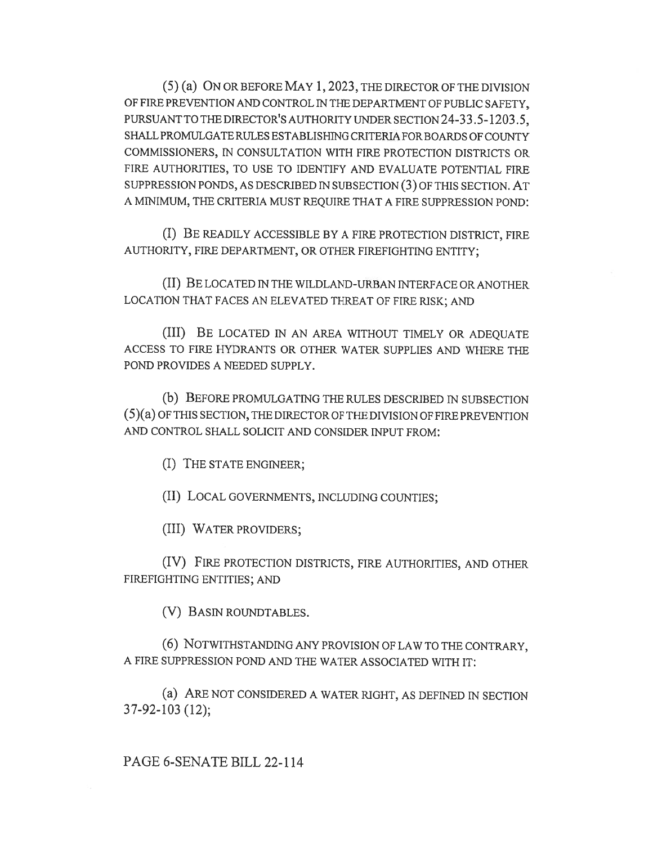(5) (a) ON OR BEFORE MAY 1, 2023, THE DIRECTOR OF THE DIVISION OF FIRE PREVENTION AND CONTROL IN THE DEPARTMENT OF PUBLIC SAFETY, PURSUANT TO THE DIRECTOR'S AUTHORITY UNDER SECTION 24-33.5-1203.5, SHALL PROMULGATE RULES ESTABLISHING CRITERIA FOR BOARDS OF COUNTY COMMISSIONERS, IN CONSULTATION WITH FIRE PROTECTION DISTRICTS OR FIRE AUTHORITIES, TO USE TO IDENTIFY AND EVALUATE POTENTIAL FIRE SUPPRESSION PONDS, AS DESCRIBED IN SUBSECTION (3) OF THIS SECTION. AT A MINIMUM, THE CRITERIA MUST REQUIRE THAT A FIRE SUPPRESSION POND:

(I) BE READILY ACCESSIBLE BY A FIRE PROTECTION DISTRICT, FIRE AUTHORITY, FIRE DEPARTMENT, OR OTHER FIREFIGHTING ENTITY;

(II) BE LOCATED IN THE WILDLAND-URBAN INTERFACE OR ANOTHER LOCATION THAT FACES AN ELEVATED THREAT OF FIRE RISK; AND

(III) BE LOCATED IN AN AREA WITHOUT TIMELY OR ADEQUATE ACCESS TO FIRE HYDRANTS OR OTHER WATER SUPPLIES AND WHERE THE POND PROVIDES A NEEDED SUPPLY.

(b) BEFORE PROMULGATING THE RULES DESCRIBED IN SUBSECTION (5)(a) OF THIS SECTION, THE DIRECTOR OF THE DIVISION OF FIRE PREVENTION AND CONTROL SHALL SOLICIT AND CONSIDER INPUT FROM:

(I) THE STATE ENGINEER;

(II) LOCAL GOVERNMENTS, INCLUDING COUNTIES;

(III) WATER PROVIDERS;

(IV) FIRE PROTECTION DISTRICTS, FIRE AUTHORITIES, AND OTHER FIREFIGHTING ENTITIES; AND

(V) BASIN ROUNDTABLES.

(6) NOTWITHSTANDING ANY PROVISION OF LAW TO THE CONTRARY, A FIRE SUPPRESSION POND AND THE WATER ASSOCIATED WITH IT:

(a) ARE NOT CONSIDERED A WATER RIGHT, AS DEFINED IN SECTION 37-92-103 (12);

# PAGE 6-SENATE BILL 22-114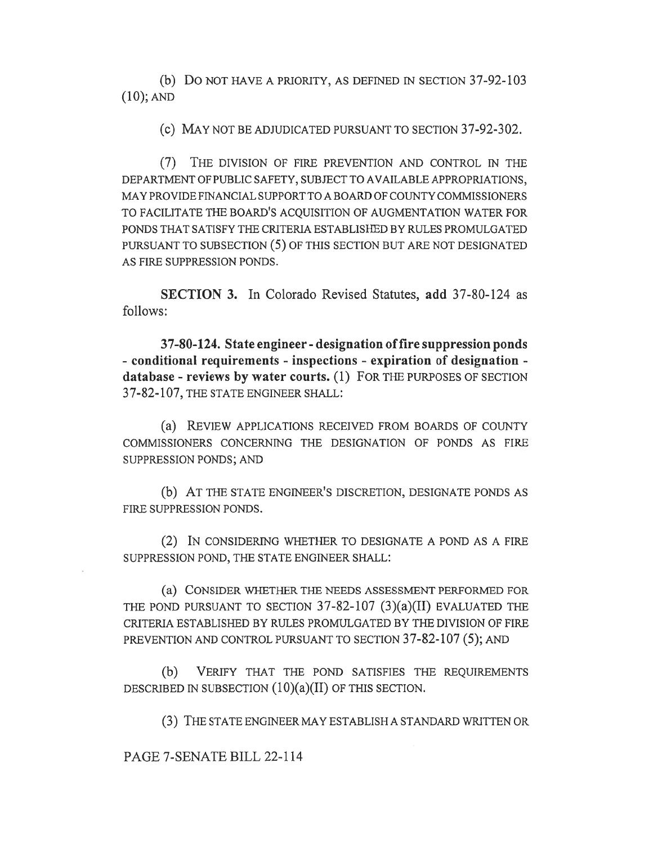(b) Do NOT HAVE A PRIORITY, AS DEFINED IN SECTION 37-92-103 (10); AND

(c) MAY NOT BE ADJUDICATED PURSUANT TO SECTION 37-92-302.

(7) THE DIVISION OF FIRE PREVENTION AND CONTROL IN THE DEPARTMENT OF PUBLIC SAFETY, SUBJECT TO AVAILABLE APPROPRIATIONS, MAY PROVIDE FINANCIAL SUPPORT TO A BOARD OF COUNTY COMMISSIONERS TO FACILITATE THE BOARD'S ACQUISITION OF AUGMENTATION WATER FOR PONDS THAT SATISFY THE CRITERIA ESTABLISHED BY RULES PROMULGATED PURSUANT TO SUBSECTION (5) OF THIS SECTION BUT ARE NOT DESIGNATED AS FIRE SUPPRESSION PONDS.

SECTION 3. In Colorado Revised Statutes, add 37-80-124 as follows:

37-80-124. State engineer - designation of fire suppression ponds - conditional requirements - inspections - expiration of designation database - reviews by water courts. (1) FOR THE PURPOSES OF SECTION 37-82-107, THE STATE ENGINEER SHALL:

(a) REVIEW APPLICATIONS RECEIVED FROM BOARDS OF COUNTY COMMISSIONERS CONCERNING THE DESIGNATION OF PONDS AS FIRE SUPPRESSION PONDS; AND

(b) AT THE STATE ENGINEER'S DISCRETION, DESIGNATE PONDS AS FIRE SUPPRESSION PONDS.

(2) IN CONSIDERING WHETHER TO DESIGNATE A POND AS A FIRE SUPPRESSION POND, THE STATE ENGINEER SHALL:

(a) CONSIDER WHETHER THE NEEDS ASSESSMENT PERFORMED FOR THE POND PURSUANT TO SECTION  $37-82-107$   $(3)(a)(II)$  evaluated the CRITERIA ESTABLISHED BY RULES PROMULGATED BY THE DIVISION OF FIRE PREVENTION AND CONTROL PURSUANT TO SECTION 37-82-107 (5); AND

(b) VERIFY THAT THE POND SATISFIES THE REQUIREMENTS DESCRIBED IN SUBSECTION  $(10)(a)(II)$  OF THIS SECTION.

(3) THE STATE ENGINEER MAY ESTABLISH A STANDARD WRITTEN OR

PAGE 7-SENATE BILL 22-114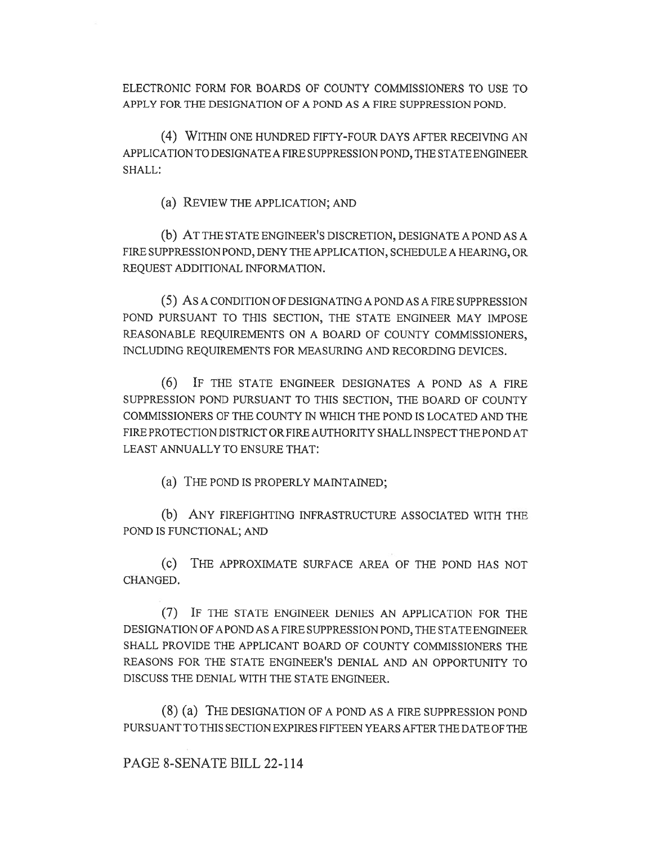ELECTRONIC FORM FOR BOARDS OF COUNTY COMMISSIONERS TO USE TO APPLY FOR THE DESIGNATION OF A POND AS A FIRE SUPPRESSION POND.

(4) WITHIN ONE HUNDRED FIFTY-FOUR DAYS AFTER RECEIVING AN APPLICATION TO DESIGNATE A FIRE SUPPRESSION POND, THE STATE ENGINEER SHALL:

(a) REVIEW THE APPLICATION; AND

(b) AT THE STATE ENGINEER'S DISCRETION, DESIGNATE A POND AS A FIRE SUPPRESSION POND, DENY THE APPLICATION, SCHEDULE A HEARING, OR REQUEST ADDITIONAL INFORMATION.

(5) AS A CONDITION OF DESIGNATING A POND AS A FIRE SUPPRESSION POND PURSUANT TO THIS SECTION, THE STATE ENGINEER MAY IMPOSE REASONABLE REQUIREMENTS ON A BOARD OF COUNTY COMMISSIONERS, INCLUDING REQUIREMENTS FOR MEASURING AND RECORDING DEVICES.

(6) IF THE STATE ENGINEER DESIGNATES A POND AS A FIRE SUPPRESSION POND PURSUANT TO THIS SECTION, THE BOARD OF COUNTY COMMISSIONERS OF THE COUNTY IN WHICH THE POND IS LOCATED AND THE FIRE PROTECTION DISTRICT OR FIRE AUTHORITY SHALL INSPECT THE POND AT LEAST ANNUALLY TO ENSURE THAT:

(a) THE POND IS PROPERLY MAINTAINED;

(b) ANY FIREFIGHTING INFRASTRUCTURE ASSOCIATED WITH THE POND IS FUNCTIONAL; AND

(c) THE APPROXIMATE SURFACE AREA OF THE POND HAS NOT CHANGED.

(7) IF THE STATE ENGINEER DENIES AN APPLICATION FOR THE DESIGNATION OF A POND AS A FIRE SUPPRESSION POND, THE STATE ENGINEER SHALL PROVIDE THE APPLICANT BOARD OF COUNTY COMMISSIONERS THE REASONS FOR THE STATE ENGINEER'S DENIAL AND AN OPPORTUNITY TO DISCUSS THE DENIAL WITH THE STATE ENGINEER.

(8) (a) THE DESIGNATION OF A POND AS A FIRE SUPPRESSION POND PURSUANT TO THIS SECTION EXPIRES FIFTEEN YEARS AFTER THE DATE OF THE

PAGE 8-SENATE BILL 22-114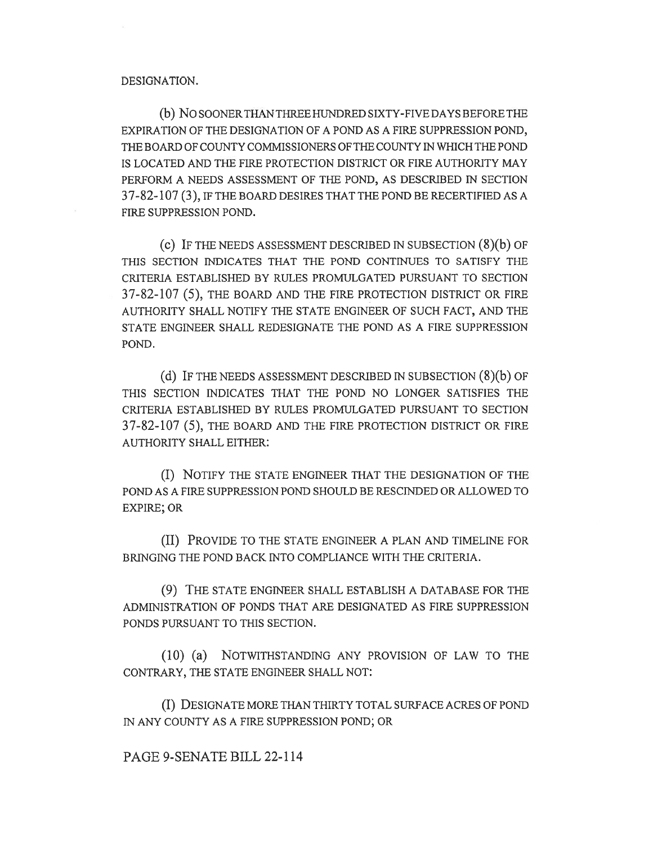#### DESIGNATION.

(b) NO SOONER THAN THREE HUNDRED SIXTY-FIVE DAYS BEFORE THE EXPIRATION OF THE DESIGNATION OF A POND AS A FIRE SUPPRESSION POND, THE BOARD OF COUNTY COMMISSIONERS OF THE COUNTY IN WHICH THE POND IS LOCATED AND THE FIRE PROTECTION DISTRICT OR FIRE AUTHORITY MAY PERFORM A NEEDS ASSESSMENT OF THE POND, AS DESCRIBED IN SECTION 37-82-107 (3), IF THE BOARD DESIRES THAT THE POND BE RECERTIFIED AS A FIRE SUPPRESSION POND.

(c) IF THE NEEDS ASSESSMENT DESCRIBED IN SUBSECTION (8)(b) OF THIS SECTION INDICATES THAT THE POND CONTINUES TO SATISFY THE CRITERIA ESTABLISHED BY RULES PROMULGATED PURSUANT TO SECTION 37-82-107 (5), THE BOARD AND THE FIRE PROTECTION DISTRICT OR FIRE AUTHORITY SHALL NOTIFY THE STATE ENGINEER OF SUCH FACT, AND THE STATE ENGINEER SHALL REDESIGNATE THE POND AS A FIRE SUPPRESSION POND.

(d) IF THE NEEDS ASSESSMENT DESCRIBED IN SUBSECTION (8)(b) OF THIS SECTION INDICATES THAT THE POND NO LONGER SATISFIES THE CRITERIA ESTABLISHED BY RULES PROMULGATED PURSUANT TO SECTION 37-82-107 (5), THE BOARD AND THE FIRE PROTECTION DISTRICT OR FIRE AUTHORITY SHALL EITHER:

(I) NOTIFY THE STATE ENGINEER THAT THE DESIGNATION OF THE POND AS A FIRE SUPPRESSION POND SHOULD BE RESCINDED OR ALLOWED TO EXPIRE; OR

(II) PROVIDE TO THE STATE ENGINEER A PLAN AND TIMELINE FOR BRINGING THE POND BACK INTO COMPLIANCE WITH THE CRITERIA.

(9) THE STATE ENGINEER SHALL ESTABLISH A DATABASE FOR THE ADMINISTRATION OF PONDS THAT ARE DESIGNATED AS FIRE SUPPRESSION PONDS PURSUANT TO THIS SECTION.

(10) (a) NOTWITHSTANDING ANY PROVISION OF LAW TO THE CONTRARY, THE STATE ENGINEER SHALL NOT:

(I) DESIGNATE MORE THAN THIRTY TOTAL SURFACE ACRES OF POND IN ANY COUNTY AS A FIRE SUPPRESSION POND; OR

PAGE 9-SENATE BILL 22-114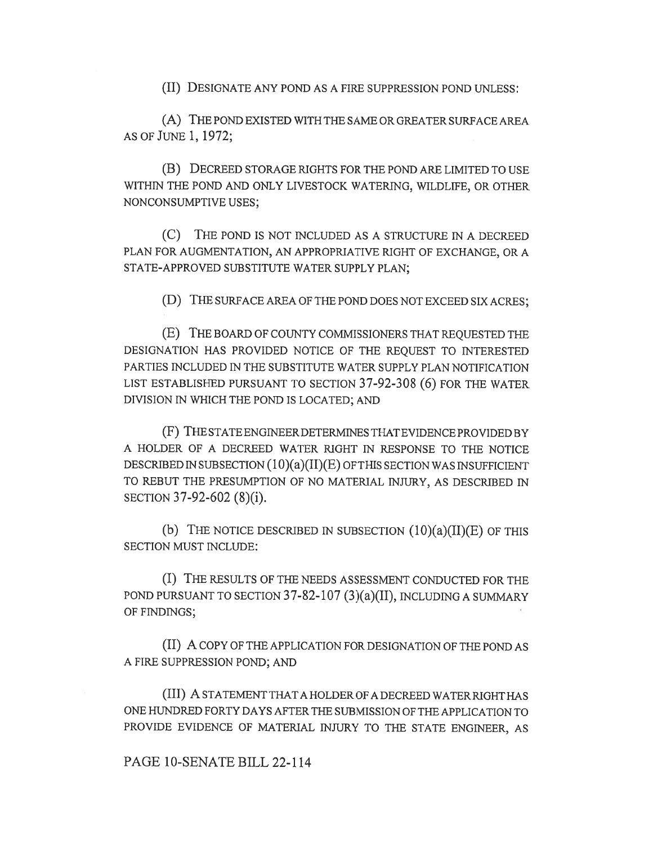(II) DESIGNATE ANY POND AS A FIRE SUPPRESSION POND UNLESS:

(A) THE POND EXISTED WITH THE SAME OR GREATER SURFACE AREA AS OF JUNE I, 1972;

(B) DECREED STORAGE RIGHTS FOR THE POND ARE LIMITED TO USE WITHIN THE POND AND ONLY LIVESTOCK WATERING, WILDLIFE, OR OTHER NONCONSUMPTIVE USES;

(C) THE POND IS NOT INCLUDED AS A STRUCTURE IN A DECREED PLAN FOR AUGMENTATION, AN APPROPRIATIVE RIGHT OF EXCHANGE, OR A STATE-APPROVED SUBSTITUTE WATER SUPPLY PLAN;

(D) THE SURFACE AREA OF THE POND DOES NOT EXCEED SIX ACRES;

(E) THE BOARD OF COUNTY COMMISSIONERS THAT REQUESTED THE DESIGNATION HAS PROVIDED NOTICE OF THE REQUEST TO INTERESTED PARTIES INCLUDED IN THE SUBSTITUTE WATER SUPPLY PLAN NOTIFICATION LIST ESTABLISHED PURSUANT TO SECTION 37-92-308 (6) FOR THE WATER DIVISION IN WHICH THE POND IS LOCATED; AND

(F) THE STATE ENGINEER DETERMINES THAT EVIDENCE PROVIDED BY A HOLDER OF A DECREED WATER RIGHT IN RESPONSE TO THE NOTICE DESCRIBED IN SUBSECTION (10)(a)(II)(E) OF THIS SECTION WAS INSUFFICIENT TO REBUT THE PRESUMPTION OF NO MATERIAL INJURY, AS DESCRIBED IN SECTION 37-92-602 (8)(i).

(b) THE NOTICE DESCRIBED IN SUBSECTION  $(10)(a)(II)(E)$  OF THIS SECTION MUST INCLUDE:

(I) THE RESULTS OF THE NEEDS ASSESSMENT CONDUCTED FOR THE POND PURSUANT TO SECTION 37-82-107 (3)(a)(II), INCLUDING A SUMMARY OF FINDINGS;

(II) A COPY OF THE APPLICATION FOR DESIGNATION OF THE POND AS A FIRE SUPPRESSION POND; AND

(III) A STATEMENT THAT A HOLDER OF A DECREED WATER RIGHT HAS ONE HUNDRED FORTY DAYS AFTER THE SUBMISSION OF THE APPLICATION TO PROVIDE EVIDENCE OF MATERIAL INJURY TO THE STATE ENGINEER, AS

# PAGE 10-SENATE BILL 22-114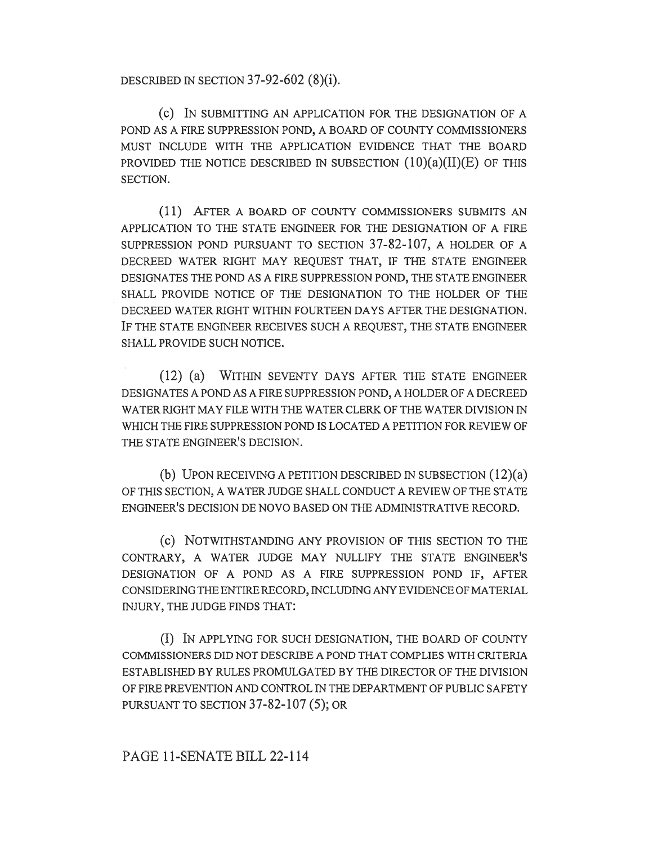DESCRIBED IN SECTION 37-92-602 (8)(i).

(C) IN SUBMITTING AN APPLICATION FOR THE DESIGNATION OF A POND AS A FIRE SUPPRESSION POND, A BOARD OF COUNTY COMMISSIONERS MUST INCLUDE WITH THE APPLICATION EVIDENCE THAT THE BOARD PROVIDED THE NOTICE DESCRIBED IN SUBSECTION  $(10)(a)(II)(E)$  OF THIS SECTION.

(11) AFTER A BOARD OF COUNTY COMMISSIONERS SUBMITS AN APPLICATION TO THE STATE ENGINEER FOR THE DESIGNATION OF A FIRE SUPPRESSION POND PURSUANT TO SECTION 37-82-107, A HOLDER OF A DECREED WATER RIGHT MAY REQUEST THAT, IF THE STATE ENGINEER DESIGNATES THE POND AS A FIRE SUPPRESSION POND, THE STATE ENGINEER SHALL PROVIDE NOTICE OF THE DESIGNATION TO THE HOLDER OF THE DECREED WATER RIGHT WITHIN FOURTEEN DAYS AFTER THE DESIGNATION. IF THE STATE ENGINEER RECEIVES SUCH A REQUEST, THE STATE ENGINEER SHALL PROVIDE SUCH NOTICE.

(12) (a) WITHIN SEVENTY DAYS AFTER THE STATE ENGINEER DESIGNATES A POND AS A FIRE SUPPRESSION POND, A HOLDER OF A DECREED WATER RIGHT MAY FILE WITH THE WATER CLERK OF THE WATER DIVISION IN WHICH THE FIRE SUPPRESSION POND IS LOCATED A PETITION FOR REVIEW OF THE STATE ENGINEER'S DECISION.

(b) UPON RECEIVING A PETITION DESCRIBED IN SUBSECTION (12)(a) OF THIS SECTION, A WATER JUDGE SHALL CONDUCT A REVIEW OF THE STATE ENGINEER'S DECISION DE NOVO BASED ON THE ADMINISTRATIVE RECORD.

(c) NOTWITHSTANDING ANY PROVISION OF THIS SECTION TO THE CONTRARY, A WATER JUDGE MAY NULLIFY THE STATE ENGINEER'S DESIGNATION OF A POND AS A FIRE SUPPRESSION POND IF, AFTER CONSIDERING THE ENTIRE RECORD, INCLUDING ANY EVIDENCE OF MATERIAL INJURY, THE JUDGE FINDS THAT:

(I) IN APPLYING FOR SUCH DESIGNATION, THE BOARD OF COUNTY COMMISSIONERS DID NOT DESCRIBE A POND THAT COMPLIES WITH CRITERIA ESTABLISHED BY RULES PROMULGATED BY THE DIRECTOR OF THE DIVISION OF FIRE PREVENTION AND CONTROL IN THE DEPARTMENT OF PUBLIC SAFETY PURSUANT TO SECTION 37-82-107 (5); OR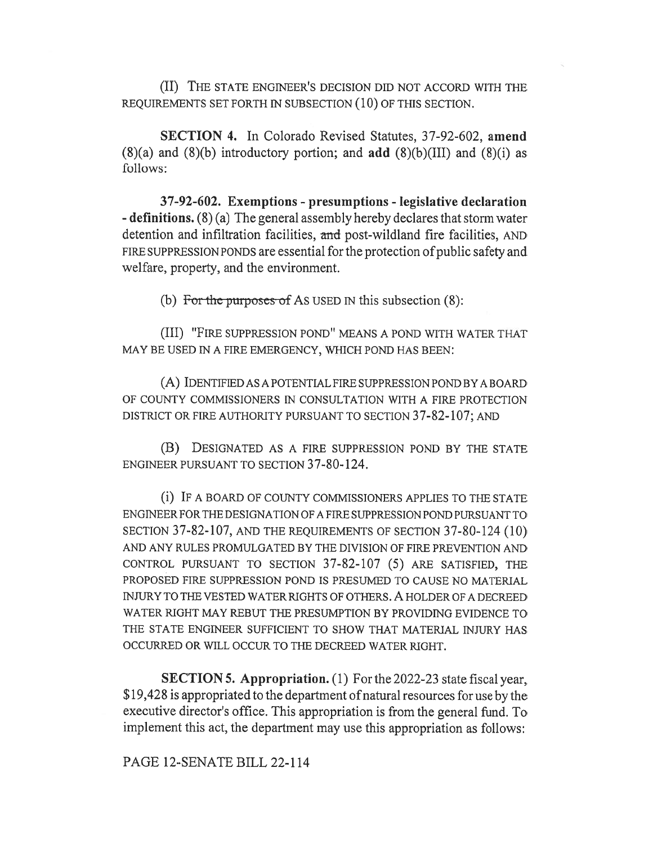(II) THE STATE ENGINEER'S DECISION DID NOT ACCORD WITH THE REQUIREMENTS SET FORTH IN SUBSECTION (10) OF THIS SECTION.

SECTION 4. In Colorado Revised Statutes, 37-92-602, amend  $(8)(a)$  and  $(8)(b)$  introductory portion; and add  $(8)(b)(III)$  and  $(8)(i)$  as follows:

37-92-602. Exemptions - presumptions - legislative declaration - definitions. (8) (a) The general assembly hereby declares that storm water detention and infiltration facilities, and post-wildland fire facilities, AND FIRE SUPPRESSION PONDS are essential for the protection of public safety and welfare, property, and the environment.

(b) For the purposes of As USED IN this subsection  $(8)$ :

(III) "FIRE SUPPRESSION POND" MEANS A POND WITH WATER THAT MAY BE USED IN A FIRE EMERGENCY, WHICH POND HAS BEEN:

(A) IDENTIFIED AS A POTENTIAL FIRE SUPPRESSION POND BY A BOARD OF COUNTY COMMISSIONERS IN CONSULTATION WITH A FIRE PROTECTION DISTRICT OR FIRE AUTHORITY PURSUANT TO SECTION 37-82-107; AND

(B) DESIGNATED AS A FIRE SUPPRESSION POND BY THE STATE ENGINEER PURSUANT TO SECTION 37-80-124.

(i) IF A BOARD OF COUNTY COMMISSIONERS APPLIES TO THE STATE ENGINEER FOR THE DESIGNATION OF A FIRE SUPPRESSION POND PURSUANT TO SECTION 37-82-107, AND THE REQUIREMENTS OF SECTION 37-80-124 (10) AND ANY RULES PROMULGATED BY THE DIVISION OF FIRE PREVENTION AND CONTROL PURSUANT TO SECTION 37-82-107 (5) ARE SATISFIED, THE PROPOSED FIRE SUPPRESSION POND IS PRESUMED TO CAUSE NO MATERIAL INJURY TO THE VESTED WATER RIGHTS OF OTHERS. A HOLDER OF A DECREED WATER RIGHT MAY REBUT THE PRESUMPTION BY PROVIDING EVIDENCE TO THE STATE ENGINEER SUFFICIENT TO SHOW THAT MATERIAL INJURY HAS OCCURRED OR WILL OCCUR TO THE DECREED WATER RIGHT.

SECTION 5. Appropriation. (1) For the 2022-23 state fiscal year, \$19,428 is appropriated to the department of natural resources for use by the executive director's office. This appropriation is from the general fund. To implement this act, the department may use this appropriation as follows:

PAGE 12-SENATE BILL 22-114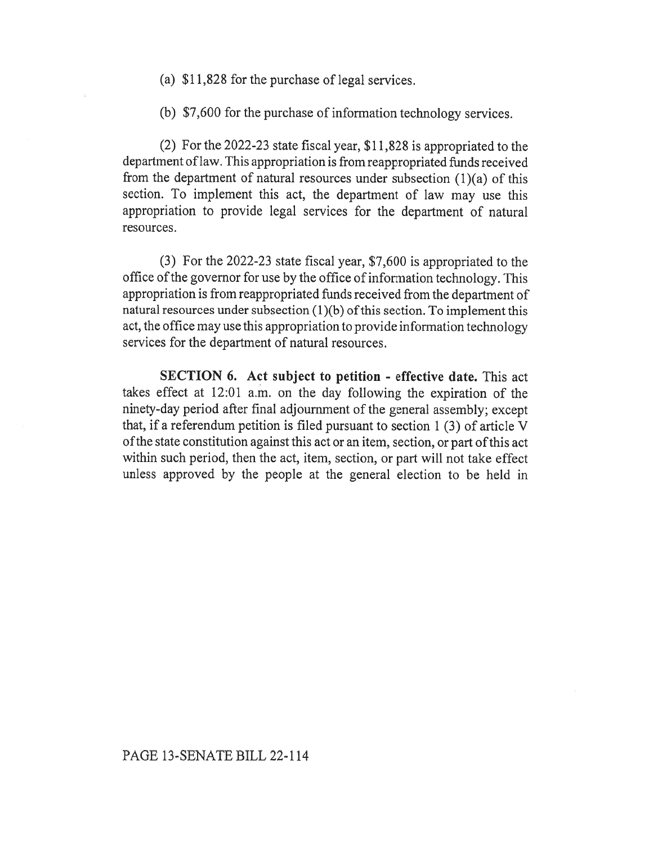- (a) \$11,828 for the purchase of legal services.
- (b) \$7,600 for the purchase of information technology services.

(2) For the 2022-23 state fiscal year, \$11,828 is appropriated to the department of law. This appropriation is from reappropriated funds received from the department of natural resources under subsection  $(1)(a)$  of this section. To implement this act, the department of law may use this appropriation to provide legal services for the department of natural resources.

(3) For the 2022-23 state fiscal year, \$7,600 is appropriated to the office of the governor for use by the office of information technology. This appropriation is from reappropriated funds received from the department of natural resources under subsection (1)(b) of this section. To implement this act, the office may use this appropriation to provide information technology services for the department of natural resources.

SECTION 6. Act subject to petition - effective date. This act takes effect at 12:01 a.m. on the day following the expiration of the ninety-day period after final adjournment of the general assembly; except that, if a referendum petition is filed pursuant to section 1 (3) of article V of the state constitution against this act or an item, section, or part of this act within such period, then the act, item, section, or part will not take effect unless approved by the people at the general election to be held in